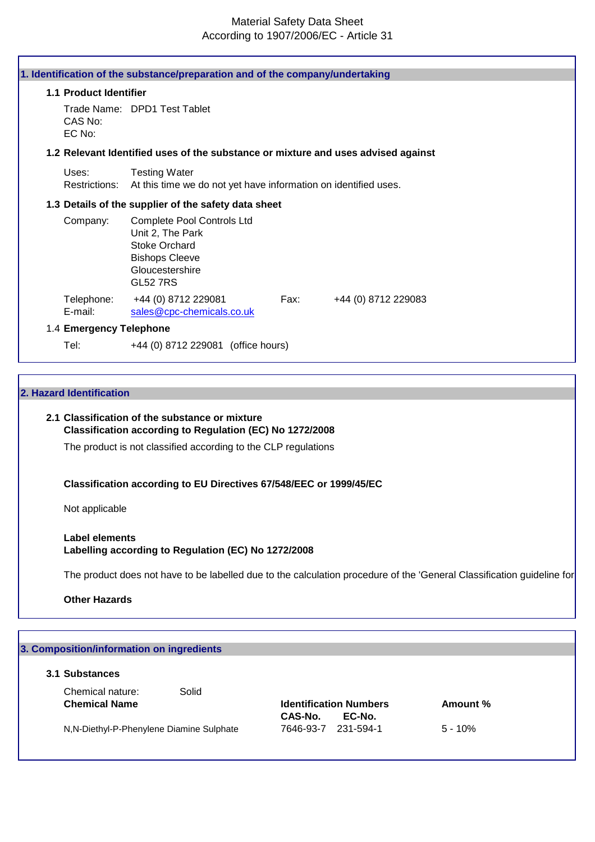## Material Safety Data Sheet According to 1907/2006/EC - Article 31

|                         | 1. Identification of the substance/preparation and of the company/undertaking                                                                |
|-------------------------|----------------------------------------------------------------------------------------------------------------------------------------------|
| 1.1 Product Identifier  |                                                                                                                                              |
| CAS No:<br>EC No:       | Trade Name: DPD1 Test Tablet                                                                                                                 |
|                         | 1.2 Relevant Identified uses of the substance or mixture and uses advised against                                                            |
| Uses:<br>Restrictions:  | <b>Testing Water</b><br>At this time we do not yet have information on identified uses.                                                      |
|                         | 1.3 Details of the supplier of the safety data sheet                                                                                         |
| Company:                | <b>Complete Pool Controls Ltd</b><br>Unit 2, The Park<br><b>Stoke Orchard</b><br><b>Bishops Cleeve</b><br>Gloucestershire<br><b>GL52 7RS</b> |
| Telephone:<br>E-mail:   | +44 (0) 8712 229081<br>Fax:<br>+44 (0) 8712 229083<br>sales@cpc-chemicals.co.uk                                                              |
| 1.4 Emergency Telephone |                                                                                                                                              |
| Tel:                    | +44 (0) 8712 229081 (office hours)                                                                                                           |

#### **2. Hazard Identification**

#### **2.1 Classification of the substance or mixture Classification according to Regulation (EC) No 1272/2008**

The product is not classified according to the CLP regulations

#### **Classification according to EU Directives 67/548/EEC or 1999/45/EC**

Not applicable

#### **Label elements Labelling according to Regulation (EC) No 1272/2008**

The product does not have to be labelled due to the calculation procedure of the 'General Classification guideline for

**Other Hazards**

# **3. Composition/information on ingredients 3.1 Substances** Chemical nature: Solid **Chemical Name Identification Numbers Amount % CAS-No. EC-No.** N,N-Diethyl-P-Phenylene Diamine Sulphate 7646-93-7 231-594-1 5 - 10%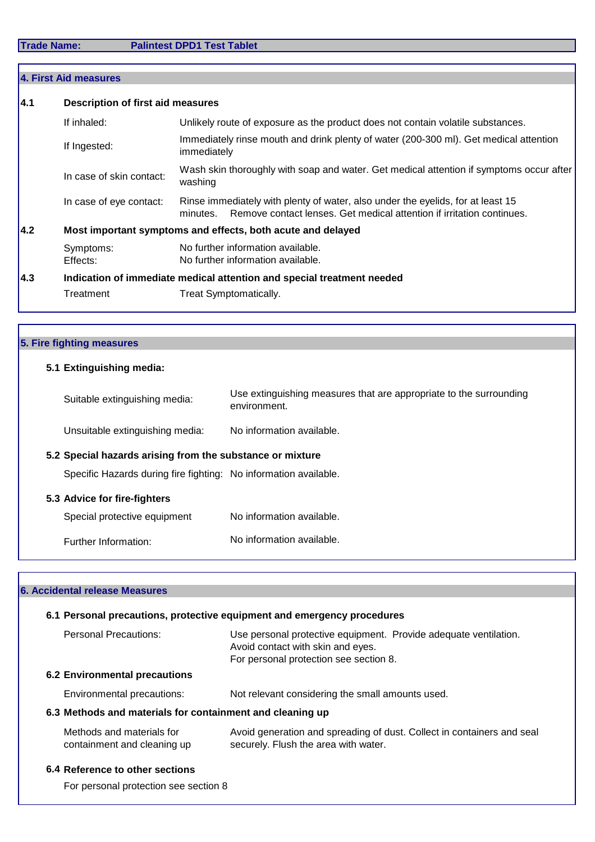|                                                                     | 4. First Aid measures                                                  |                                                                                                                                                                      |  |
|---------------------------------------------------------------------|------------------------------------------------------------------------|----------------------------------------------------------------------------------------------------------------------------------------------------------------------|--|
| 4.1<br><b>Description of first aid measures</b>                     |                                                                        |                                                                                                                                                                      |  |
|                                                                     | If inhaled:                                                            | Unlikely route of exposure as the product does not contain volatile substances.                                                                                      |  |
|                                                                     | If Ingested:                                                           | Immediately rinse mouth and drink plenty of water (200-300 ml). Get medical attention<br>immediately                                                                 |  |
| In case of skin contact:<br>washing                                 |                                                                        | Wash skin thoroughly with soap and water. Get medical attention if symptoms occur after                                                                              |  |
|                                                                     | In case of eye contact:                                                | Rinse immediately with plenty of water, also under the eyelids, for at least 15<br>Remove contact lenses. Get medical attention if irritation continues.<br>minutes. |  |
| 4.2 <br>Most important symptoms and effects, both acute and delayed |                                                                        |                                                                                                                                                                      |  |
|                                                                     | Symptoms:<br>Effects:                                                  | No further information available.<br>No further information available.                                                                                               |  |
| 4.3                                                                 | Indication of immediate medical attention and special treatment needed |                                                                                                                                                                      |  |
| Treatment<br><b>Treat Symptomatically.</b>                          |                                                                        |                                                                                                                                                                      |  |

## **5. Fire fighting measures**

Г

## **5.1 Extinguishing media:**

| Suitable extinguishing media:                                    | Use extinguishing measures that are appropriate to the surrounding<br>environment. |
|------------------------------------------------------------------|------------------------------------------------------------------------------------|
| Unsuitable extinguishing media:                                  | No information available.                                                          |
| 5.2 Special hazards arising from the substance or mixture        |                                                                                    |
| Specific Hazards during fire fighting: No information available. |                                                                                    |
| 5.3 Advice for fire-fighters                                     |                                                                                    |
| Special protective equipment                                     | No information available.                                                          |
| Further Information:                                             | No information available.                                                          |

| 6. Accidental release Measures                            |                                                                                                                                                 |
|-----------------------------------------------------------|-------------------------------------------------------------------------------------------------------------------------------------------------|
|                                                           | 6.1 Personal precautions, protective equipment and emergency procedures                                                                         |
| Personal Precautions:                                     | Use personal protective equipment. Provide adequate ventilation.<br>Avoid contact with skin and eyes.<br>For personal protection see section 8. |
| <b>6.2 Environmental precautions</b>                      |                                                                                                                                                 |
| Environmental precautions:                                | Not relevant considering the small amounts used.                                                                                                |
| 6.3 Methods and materials for containment and cleaning up |                                                                                                                                                 |
| Methods and materials for<br>containment and cleaning up  | Avoid generation and spreading of dust. Collect in containers and seal<br>securely. Flush the area with water.                                  |
| 6.4 Reference to other sections                           |                                                                                                                                                 |
| For personal protection see section 8                     |                                                                                                                                                 |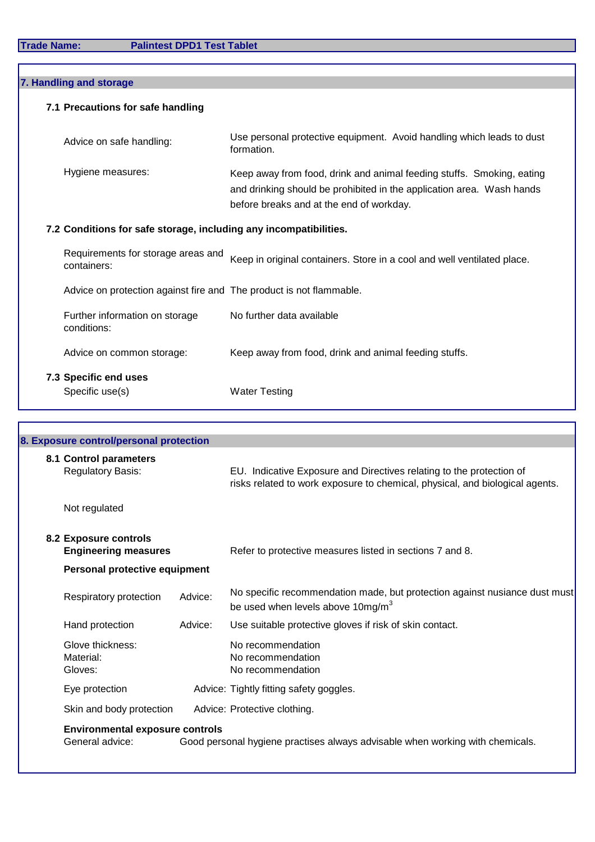| 7. Handling and storage |                                                                   |                                                                     |                                                                                                                                                                                            |  |
|-------------------------|-------------------------------------------------------------------|---------------------------------------------------------------------|--------------------------------------------------------------------------------------------------------------------------------------------------------------------------------------------|--|
|                         |                                                                   | 7.1 Precautions for safe handling                                   |                                                                                                                                                                                            |  |
|                         |                                                                   | Advice on safe handling:                                            | Use personal protective equipment. Avoid handling which leads to dust<br>formation.                                                                                                        |  |
|                         |                                                                   | Hygiene measures:                                                   | Keep away from food, drink and animal feeding stuffs. Smoking, eating<br>and drinking should be prohibited in the application area. Wash hands<br>before breaks and at the end of workday. |  |
|                         | 7.2 Conditions for safe storage, including any incompatibilities. |                                                                     |                                                                                                                                                                                            |  |
|                         |                                                                   | Requirements for storage areas and<br>containers:                   | Keep in original containers. Store in a cool and well ventilated place.                                                                                                                    |  |
|                         |                                                                   | Advice on protection against fire and The product is not flammable. |                                                                                                                                                                                            |  |
|                         |                                                                   | Further information on storage<br>conditions:                       | No further data available                                                                                                                                                                  |  |
|                         |                                                                   | Advice on common storage:                                           | Keep away from food, drink and animal feeding stuffs.                                                                                                                                      |  |
|                         |                                                                   | 7.3 Specific end uses<br>Specific use(s)                            | <b>Water Testing</b>                                                                                                                                                                       |  |

| 8.1 Control parameters<br><b>Regulatory Basis:</b>   | EU. Indicative Exposure and Directives relating to the protection of                                                        |
|------------------------------------------------------|-----------------------------------------------------------------------------------------------------------------------------|
|                                                      | risks related to work exposure to chemical, physical, and biological agents.                                                |
| Not regulated                                        |                                                                                                                             |
| 8.2 Exposure controls<br><b>Engineering measures</b> | Refer to protective measures listed in sections 7 and 8.                                                                    |
|                                                      |                                                                                                                             |
| Respiratory protection                               | No specific recommendation made, but protection against nusiance dust must<br>be used when levels above 10mg/m <sup>3</sup> |
| Hand protection                                      | Use suitable protective gloves if risk of skin contact.                                                                     |
| Glove thickness:<br>Material:<br>Gloves:             | No recommendation<br>No recommendation<br>No recommendation                                                                 |
| Eye protection                                       | Advice: Tightly fitting safety goggles.                                                                                     |
| Skin and body protection                             | Advice: Protective clothing.                                                                                                |
|                                                      | Personal protective equipment<br>Advice:<br>Advice:<br><b>Environmental exposure controls</b>                               |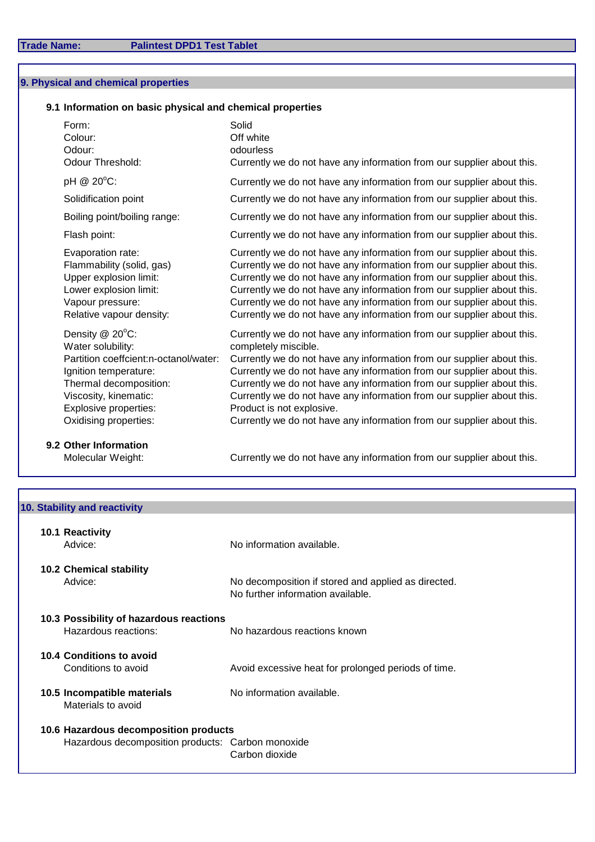## **9. Physical and chemical properties**

## **9.1 Information on basic physical and chemical properties**

| Form:<br>Colour:<br>Odour:<br>Odour Threshold:                                                                                                                                                              | Solid<br>Off white<br>odourless<br>Currently we do not have any information from our supplier about this.                                                                                                                                                                                                                                                                                                                                                                                                     |
|-------------------------------------------------------------------------------------------------------------------------------------------------------------------------------------------------------------|---------------------------------------------------------------------------------------------------------------------------------------------------------------------------------------------------------------------------------------------------------------------------------------------------------------------------------------------------------------------------------------------------------------------------------------------------------------------------------------------------------------|
| pH @ 20°C:                                                                                                                                                                                                  | Currently we do not have any information from our supplier about this.                                                                                                                                                                                                                                                                                                                                                                                                                                        |
| Solidification point                                                                                                                                                                                        | Currently we do not have any information from our supplier about this.                                                                                                                                                                                                                                                                                                                                                                                                                                        |
| Boiling point/boiling range:                                                                                                                                                                                | Currently we do not have any information from our supplier about this.                                                                                                                                                                                                                                                                                                                                                                                                                                        |
| Flash point:                                                                                                                                                                                                | Currently we do not have any information from our supplier about this.                                                                                                                                                                                                                                                                                                                                                                                                                                        |
| Evaporation rate:<br>Flammability (solid, gas)<br>Upper explosion limit:<br>Lower explosion limit:<br>Vapour pressure:<br>Relative vapour density:                                                          | Currently we do not have any information from our supplier about this.<br>Currently we do not have any information from our supplier about this.<br>Currently we do not have any information from our supplier about this.<br>Currently we do not have any information from our supplier about this.<br>Currently we do not have any information from our supplier about this.<br>Currently we do not have any information from our supplier about this.                                                      |
| Density @ 20°C:<br>Water solubility:<br>Partition coeffcient:n-octanol/water:<br>Ignition temperature:<br>Thermal decomposition:<br>Viscosity, kinematic:<br>Explosive properties:<br>Oxidising properties: | Currently we do not have any information from our supplier about this.<br>completely miscible.<br>Currently we do not have any information from our supplier about this.<br>Currently we do not have any information from our supplier about this.<br>Currently we do not have any information from our supplier about this.<br>Currently we do not have any information from our supplier about this.<br>Product is not explosive.<br>Currently we do not have any information from our supplier about this. |

**9.2 Other Information** 

Molecular Weight: Currently we do not have any information from our supplier about this.

|                 | 10. Stability and reactivity                      |                                                                                          |
|-----------------|---------------------------------------------------|------------------------------------------------------------------------------------------|
| 10.1 Reactivity |                                                   |                                                                                          |
| Advice:         |                                                   | No information available.                                                                |
|                 | <b>10.2 Chemical stability</b>                    |                                                                                          |
| Advice:         |                                                   | No decomposition if stored and applied as directed.<br>No further information available. |
|                 | 10.3 Possibility of hazardous reactions           |                                                                                          |
|                 | Hazardous reactions:                              | No hazardous reactions known                                                             |
|                 | 10.4 Conditions to avoid                          |                                                                                          |
|                 | Conditions to avoid                               | Avoid excessive heat for prolonged periods of time.                                      |
|                 | 10.5 Incompatible materials<br>Materials to avoid | No information available.                                                                |
|                 | 10.6 Hazardous decomposition products             |                                                                                          |
|                 | Hazardous decomposition products: Carbon monoxide |                                                                                          |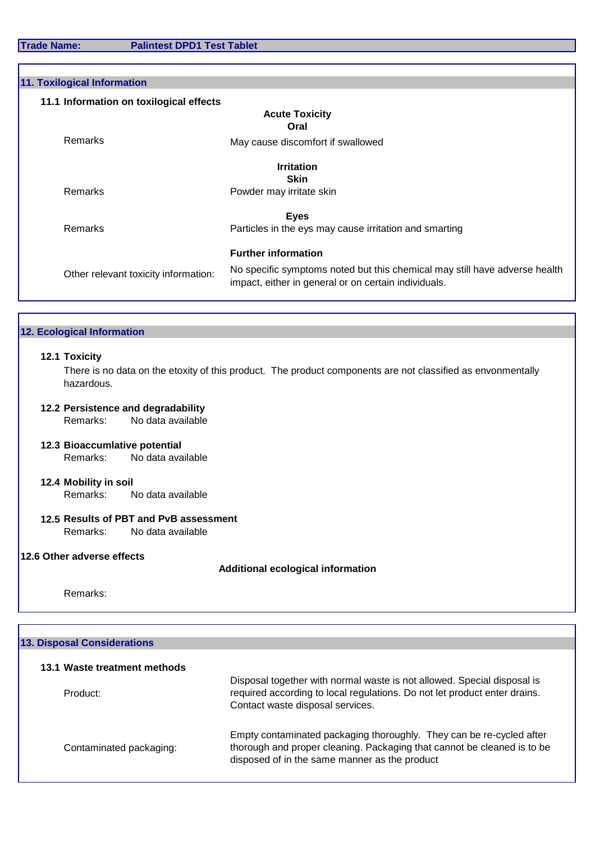**Trade Name: Palintest DPD1 Test Tablet**

| <b>Acute Toxicity</b><br>Oral<br>May cause discomfort if swallowed<br><b>Irritation</b><br><b>Skin</b><br>Powder may irritate skin                                         |
|----------------------------------------------------------------------------------------------------------------------------------------------------------------------------|
|                                                                                                                                                                            |
|                                                                                                                                                                            |
|                                                                                                                                                                            |
|                                                                                                                                                                            |
|                                                                                                                                                                            |
|                                                                                                                                                                            |
| <b>Eyes</b>                                                                                                                                                                |
| Particles in the eys may cause irritation and smarting                                                                                                                     |
| <b>Further information</b>                                                                                                                                                 |
| No specific symptoms noted but this chemical may still have adverse health<br>Other relevant toxicity information:<br>impact, either in general or on certain individuals. |
|                                                                                                                                                                            |

**12.2 Persistence and degradability**

Remarks: No data available

**12.3 Bioaccumlative potential** Remarks: No data available

#### **12.4 Mobility in soil** Remarks: No data available

#### **12.5 Results of PBT and PvB assessment** Remarks: No data available

#### **12.6 Other adverse effects**

## **Additional ecological information**

Remarks:

| <b>13. Disposal Considerations</b> |                                                                                                                                                                                                  |
|------------------------------------|--------------------------------------------------------------------------------------------------------------------------------------------------------------------------------------------------|
| 13.1 Waste treatment methods       |                                                                                                                                                                                                  |
| Product:                           | Disposal together with normal waste is not allowed. Special disposal is<br>required according to local regulations. Do not let product enter drains.<br>Contact waste disposal services.         |
| Contaminated packaging:            | Empty contaminated packaging thoroughly. They can be re-cycled after<br>thorough and proper cleaning. Packaging that cannot be cleaned is to be<br>disposed of in the same manner as the product |